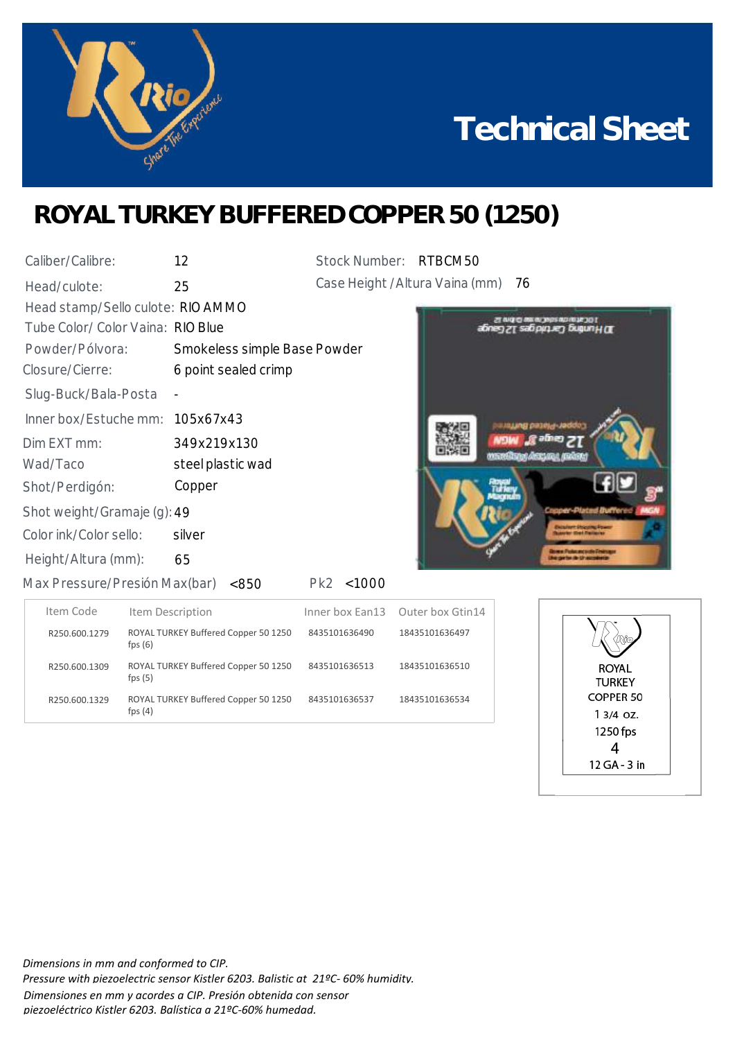

## **Technical Sheet**

## **ROYAL TURKEY BUFFERED COPPER 50 (1250)**

| Caliber/Calibre:                  | 12                           | Stock Number: RTBCM50 |                                    |
|-----------------------------------|------------------------------|-----------------------|------------------------------------|
| Head/culote:                      | 25                           |                       | Case Height / Altura Vaina (mm) 76 |
| Head stamp/Sello culote: RIO AMMO |                              |                       |                                    |
| Tube Color/ Color Vaina: RIO Blue |                              |                       |                                    |
| Powder/Pólvora:                   | Smokeless simple Base Powder |                       |                                    |
| Closure/Cierre:                   | 6 point sealed crimp         |                       |                                    |
| Slug-Buck/Bala-Posta              |                              |                       |                                    |
| Inner box/Estuche mm: 105x67x43   |                              |                       |                                    |
| Dim EXT mm:                       | 349x219x130                  |                       |                                    |
| Wad/Taco                          | steel plastic wad            |                       |                                    |
| Shot/Perdigón:                    | Copper                       |                       |                                    |
| Shot weight/Gramaje (g): 49       |                              |                       |                                    |
| Color ink/Color sello:            | silver                       |                       |                                    |
| Height/Altura (mm):               | 65                           |                       |                                    |
|                                   |                              |                       |                                    |



<850 Max Pressure/Presión Max(bar)

Pk2 <1000

| Item Code     | Item Description                                  |               | Inner box Ean13 Outer box Gtin14 |
|---------------|---------------------------------------------------|---------------|----------------------------------|
| R250.600.1279 | ROYAL TURKEY Buffered Copper 50 1250<br>fps $(6)$ | 8435101636490 | 18435101636497                   |
| R250.600.1309 | ROYAL TURKEY Buffered Copper 50 1250<br>fps $(5)$ | 8435101636513 | 18435101636510                   |
| R250.600.1329 | ROYAL TURKEY Buffered Copper 50 1250<br>fps $(4)$ | 8435101636537 | 18435101636534                   |



*Dimensions in mm and conformed to CIP. Pressure with piezoelectric sensor Kistler 6203. Balistic at 21ºC- 60% humidity. Dimensiones en mm y acordes a CIP. Presión obtenida con sensor piezoeléctrico Kistler 6203. Balística a 21ºC-60% humedad.*